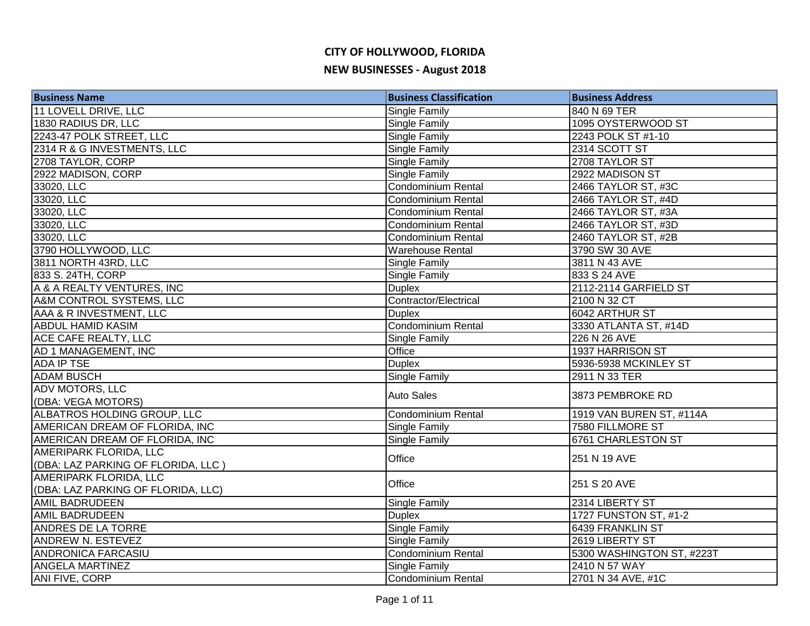| <b>Business Name</b>               | <b>Business Classification</b> | <b>Business Address</b>   |
|------------------------------------|--------------------------------|---------------------------|
| 11 LOVELL DRIVE, LLC               | Single Family                  | 840 N 69 TER              |
| 1830 RADIUS DR, LLC                | Single Family                  | 1095 OYSTERWOOD ST        |
| 2243-47 POLK STREET, LLC           | Single Family                  | 2243 POLK ST #1-10        |
| 2314 R & G INVESTMENTS, LLC        | <b>Single Family</b>           | 2314 SCOTT ST             |
| 2708 TAYLOR, CORP                  | Single Family                  | 2708 TAYLOR ST            |
| 2922 MADISON, CORP                 | <b>Single Family</b>           | 2922 MADISON ST           |
| 33020, LLC                         | <b>Condominium Rental</b>      | 2466 TAYLOR ST, #3C       |
| 33020, LLC                         | Condominium Rental             | 2466 TAYLOR ST, #4D       |
| 33020, LLC                         | <b>Condominium Rental</b>      | 2466 TAYLOR ST, #3A       |
| 33020, LLC                         | <b>Condominium Rental</b>      | 2466 TAYLOR ST, #3D       |
| 33020, LLC                         | <b>Condominium Rental</b>      | 2460 TAYLOR ST, #2B       |
| 3790 HOLLYWOOD, LLC                | <b>Warehouse Rental</b>        | 3790 SW 30 AVE            |
| 3811 NORTH 43RD, LLC               | Single Family                  | 3811 N 43 AVE             |
| 833 S. 24TH, CORP                  | <b>Single Family</b>           | 833 S 24 AVE              |
| A & A REALTY VENTURES, INC         | <b>Duplex</b>                  | 2112-2114 GARFIELD ST     |
| A&M CONTROL SYSTEMS, LLC           | Contractor/Electrical          | 2100 N 32 CT              |
| AAA & R INVESTMENT, LLC            | <b>Duplex</b>                  | 6042 ARTHUR ST            |
| <b>ABDUL HAMID KASIM</b>           | Condominium Rental             | 3330 ATLANTA ST, #14D     |
| <b>ACE CAFE REALTY, LLC</b>        | <b>Single Family</b>           | 226 N 26 AVE              |
| AD 1 MANAGEMENT, INC               | Office                         | 1937 HARRISON ST          |
| <b>ADA IP TSE</b>                  | <b>Duplex</b>                  | 5936-5938 MCKINLEY ST     |
| <b>ADAM BUSCH</b>                  | <b>Single Family</b>           | 2911 N 33 TER             |
| <b>ADV MOTORS, LLC</b>             | <b>Auto Sales</b>              | 3873 PEMBROKE RD          |
| (DBA: VEGA MOTORS)                 |                                |                           |
| ALBATROS HOLDING GROUP, LLC        | Condominium Rental             | 1919 VAN BUREN ST, #114A  |
| AMERICAN DREAM OF FLORIDA, INC     | <b>Single Family</b>           | 7580 FILLMORE ST          |
| AMERICAN DREAM OF FLORIDA, INC     | Single Family                  | <b>6761 CHARLESTON ST</b> |
| AMERIPARK FLORIDA, LLC             | Office                         | 251 N 19 AVE              |
| (DBA: LAZ PARKING OF FLORIDA, LLC) |                                |                           |
| AMERIPARK FLORIDA, LLC             | Office                         | 251 S 20 AVE              |
| (DBA: LAZ PARKING OF FLORIDA, LLC) |                                |                           |
| <b>AMIL BADRUDEEN</b>              | Single Family                  | 2314 LIBERTY ST           |
| <b>AMIL BADRUDEEN</b>              | <b>Duplex</b>                  | 1727 FUNSTON ST, #1-2     |
| <b>ANDRES DE LA TORRE</b>          | <b>Single Family</b>           | 6439 FRANKLIN ST          |
| <b>ANDREW N. ESTEVEZ</b>           | Single Family                  | 2619 LIBERTY ST           |
| <b>ANDRONICA FARCASIU</b>          | <b>Condominium Rental</b>      | 5300 WASHINGTON ST, #223T |
| <b>ANGELA MARTINEZ</b>             | <b>Single Family</b>           | 2410 N 57 WAY             |
| <b>ANI FIVE, CORP</b>              | Condominium Rental             | 2701 N 34 AVE, #1C        |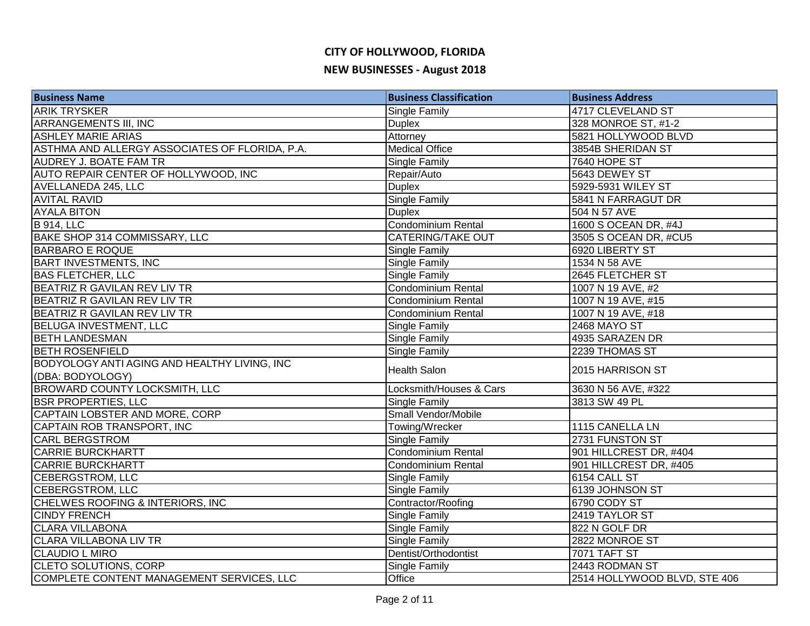# **CITY OF HOLLYWOOD, FLORIDA**

#### **NEW BUSINESSES - August 2018**

| <b>Business Name</b>                           | <b>Business Classification</b> | <b>Business Address</b>      |
|------------------------------------------------|--------------------------------|------------------------------|
| <b>ARIK TRYSKER</b>                            | Single Family                  | 4717 CLEVELAND ST            |
| <b>ARRANGEMENTS III, INC</b>                   | <b>Duplex</b>                  | 328 MONROE ST, #1-2          |
| <b>ASHLEY MARIE ARIAS</b>                      | Attorney                       | 5821 HOLLYWOOD BLVD          |
| ASTHMA AND ALLERGY ASSOCIATES OF FLORIDA, P.A. | <b>Medical Office</b>          | 3854B SHERIDAN ST            |
| <b>AUDREY J. BOATE FAM TR</b>                  | <b>Single Family</b>           | 7640 HOPE ST                 |
| AUTO REPAIR CENTER OF HOLLYWOOD, INC           | Repair/Auto                    | 5643 DEWEY ST                |
| AVELLANEDA 245, LLC                            | <b>Duplex</b>                  | 5929-5931 WILEY ST           |
| <b>AVITAL RAVID</b>                            | <b>Single Family</b>           | 5841 N FARRAGUT DR           |
| <b>AYALA BITON</b>                             | <b>Duplex</b>                  | 504 N 57 AVE                 |
| <b>B</b> 914, LLC                              | Condominium Rental             | 1600 S OCEAN DR, #4J         |
| BAKE SHOP 314 COMMISSARY, LLC                  | <b>CATERING/TAKE OUT</b>       | 3505 S OCEAN DR, #CU5        |
| <b>BARBARO E ROQUE</b>                         | Single Family                  | 6920 LIBERTY ST              |
| <b>BART INVESTMENTS, INC</b>                   | Single Family                  | 1534 N 58 AVE                |
| <b>BAS FLETCHER, LLC</b>                       | Single Family                  | 2645 FLETCHER ST             |
| BEATRIZ R GAVILAN REV LIV TR                   | Condominium Rental             | 1007 N 19 AVE, #2            |
| BEATRIZ R GAVILAN REV LIV TR                   | Condominium Rental             | 1007 N 19 AVE, #15           |
| BEATRIZ R GAVILAN REV LIV TR                   | Condominium Rental             | 1007 N 19 AVE, #18           |
| BELUGA INVESTMENT, LLC                         | Single Family                  | <b>2468 MAYO ST</b>          |
| <b>BETH LANDESMAN</b>                          | <b>Single Family</b>           | 4935 SARAZEN DR              |
| <b>BETH ROSENFIELD</b>                         | Single Family                  | 2239 THOMAS ST               |
| BODYOLOGY ANTI AGING AND HEALTHY LIVING, INC   | <b>Health Salon</b>            | 2015 HARRISON ST             |
| (DBA: BODYOLOGY)                               |                                |                              |
| <b>BROWARD COUNTY LOCKSMITH, LLC</b>           | Locksmith/Houses & Cars        | 3630 N 56 AVE, #322          |
| <b>BSR PROPERTIES, LLC</b>                     | Single Family                  | 3813 SW 49 PL                |
| CAPTAIN LOBSTER AND MORE, CORP                 | Small Vendor/Mobile            |                              |
| CAPTAIN ROB TRANSPORT, INC                     | Towing/Wrecker                 | 1115 CANELLA LN              |
| <b>CARL BERGSTROM</b>                          | <b>Single Family</b>           | 2731 FUNSTON ST              |
| <b>CARRIE BURCKHARTT</b>                       | <b>Condominium Rental</b>      | 901 HILLCREST DR, #404       |
| <b>CARRIE BURCKHARTT</b>                       | <b>Condominium Rental</b>      | 901 HILLCREST DR, #405       |
| CEBERGSTROM, LLC                               | <b>Single Family</b>           | 6154 CALL ST                 |
| CEBERGSTROM, LLC                               | Single Family                  | 6139 JOHNSON ST              |
| CHELWES ROOFING & INTERIORS, INC               | Contractor/Roofing             | 6790 CODY ST                 |
| <b>CINDY FRENCH</b>                            | Single Family                  | 2419 TAYLOR ST               |
| <b>CLARA VILLABONA</b>                         | Single Family                  | 822 N GOLF DR                |
| <b>CLARA VILLABONA LIV TR</b>                  | Single Family                  | 2822 MONROE ST               |
| <b>CLAUDIO L MIRO</b>                          | Dentist/Orthodontist           | <b>7071 TAFT ST</b>          |
| <b>CLETO SOLUTIONS, CORP</b>                   | Single Family                  | 2443 RODMAN ST               |
| COMPLETE CONTENT MANAGEMENT SERVICES, LLC      | Office                         | 2514 HOLLYWOOD BLVD, STE 406 |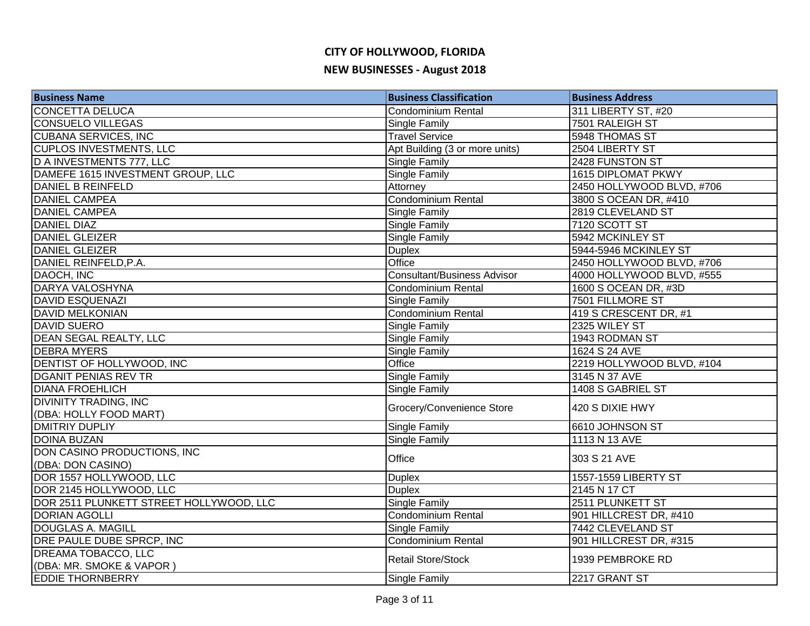| <b>Business Name</b>                                   | <b>Business Classification</b>     | <b>Business Address</b>   |
|--------------------------------------------------------|------------------------------------|---------------------------|
| <b>CONCETTA DELUCA</b>                                 | Condominium Rental                 | 311 LIBERTY ST, #20       |
| <b>CONSUELO VILLEGAS</b>                               | Single Family                      | 7501 RALEIGH ST           |
| <b>CUBANA SERVICES, INC</b>                            | <b>Travel Service</b>              | 5948 THOMAS ST            |
| <b>CUPLOS INVESTMENTS, LLC</b>                         | Apt Building (3 or more units)     | 2504 LIBERTY ST           |
| <b>D A INVESTMENTS 777, LLC</b>                        | Single Family                      | 2428 FUNSTON ST           |
| DAMEFE 1615 INVESTMENT GROUP, LLC                      | <b>Single Family</b>               | <b>1615 DIPLOMAT PKWY</b> |
| DANIEL B REINFELD                                      | Attorney                           | 2450 HOLLYWOOD BLVD, #706 |
| <b>DANIEL CAMPEA</b>                                   | <b>Condominium Rental</b>          | 3800 S OCEAN DR, #410     |
| <b>DANIEL CAMPEA</b>                                   | <b>Single Family</b>               | 2819 CLEVELAND ST         |
| <b>DANIEL DIAZ</b>                                     | <b>Single Family</b>               | 7120 SCOTT ST             |
| <b>DANIEL GLEIZER</b>                                  | <b>Single Family</b>               | 5942 MCKINLEY ST          |
| <b>DANIEL GLEIZER</b>                                  | <b>Duplex</b>                      | 5944-5946 MCKINLEY ST     |
| DANIEL REINFELD, P.A.                                  | Office                             | 2450 HOLLYWOOD BLVD, #706 |
| DAOCH, INC                                             | <b>Consultant/Business Advisor</b> | 4000 HOLLYWOOD BLVD, #555 |
| DARYA VALOSHYNA                                        | Condominium Rental                 | 1600 S OCEAN DR, #3D      |
| <b>DAVID ESQUENAZI</b>                                 | Single Family                      | 7501 FILLMORE ST          |
| <b>DAVID MELKONIAN</b>                                 | Condominium Rental                 | 419 S CRESCENT DR, #1     |
| DAVID SUERO                                            | <b>Single Family</b>               | 2325 WILEY ST             |
| DEAN SEGAL REALTY, LLC                                 | <b>Single Family</b>               | 1943 RODMAN ST            |
| <b>DEBRA MYERS</b>                                     | Single Family                      | 1624 S 24 AVE             |
| DENTIST OF HOLLYWOOD, INC                              | Office                             | 2219 HOLLYWOOD BLVD, #104 |
| <b>DGANIT PENIAS REV TR</b>                            | Single Family                      | 3145 N 37 AVE             |
| <b>DIANA FROEHLICH</b>                                 | Single Family                      | 1408 S GABRIEL ST         |
| <b>DIVINITY TRADING, INC</b><br>(DBA: HOLLY FOOD MART) | Grocery/Convenience Store          | 420 S DIXIE HWY           |
| <b>DMITRIY DUPLIY</b>                                  | Single Family                      | 6610 JOHNSON ST           |
| <b>DOINA BUZAN</b>                                     | <b>Single Family</b>               | 1113 N 13 AVE             |
| DON CASINO PRODUCTIONS, INC                            | Office                             |                           |
| (DBA: DON CASINO)                                      |                                    | 303 S 21 AVE              |
| DOR 1557 HOLLYWOOD, LLC                                | <b>Duplex</b>                      | 1557-1559 LIBERTY ST      |
| DOR 2145 HOLLYWOOD, LLC                                | <b>Duplex</b>                      | 2145 N 17 CT              |
| DOR 2511 PLUNKETT STREET HOLLYWOOD, LLC                | Single Family                      | 2511 PLUNKETT ST          |
| <b>DORIAN AGOLLI</b>                                   | <b>Condominium Rental</b>          | 901 HILLCREST DR, #410    |
| <b>DOUGLAS A. MAGILL</b>                               | Single Family                      | 7442 CLEVELAND ST         |
| DRE PAULE DUBE SPRCP, INC                              | Condominium Rental                 | 901 HILLCREST DR, #315    |
| <b>DREAMA TOBACCO, LLC</b>                             | <b>Retail Store/Stock</b>          | 1939 PEMBROKE RD          |
| (DBA: MR. SMOKE & VAPOR)                               |                                    |                           |
| <b>EDDIE THORNBERRY</b>                                | Single Family                      | 2217 GRANT ST             |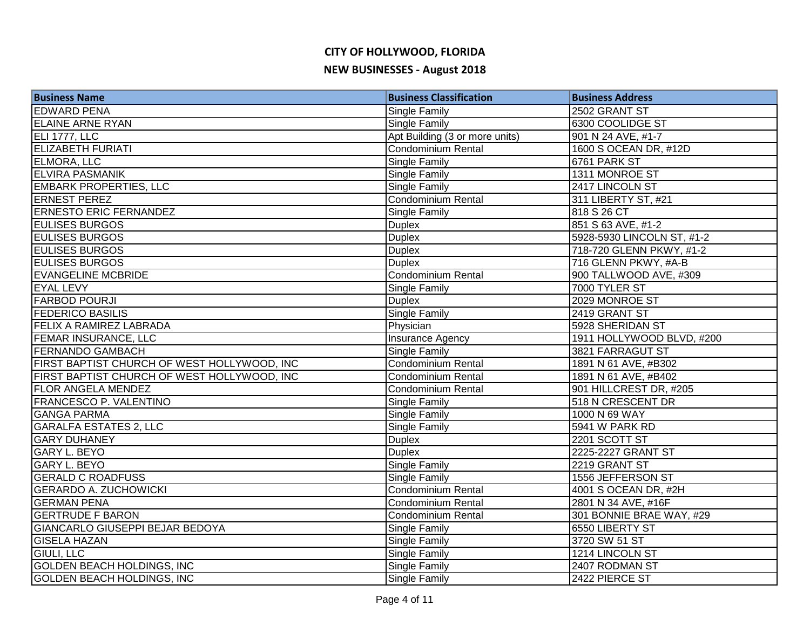| <b>Business Name</b>                        | <b>Business Classification</b> | <b>Business Address</b>    |
|---------------------------------------------|--------------------------------|----------------------------|
| <b>EDWARD PENA</b>                          | Single Family                  | 2502 GRANT ST              |
| <b>ELAINE ARNE RYAN</b>                     | Single Family                  | 6300 COOLIDGE ST           |
| ELI 1777, LLC                               | Apt Building (3 or more units) | 901 N 24 AVE, #1-7         |
| <b>ELIZABETH FURIATI</b>                    | Condominium Rental             | 1600 S OCEAN DR, #12D      |
| ELMORA, LLC                                 | Single Family                  | 6761 PARK ST               |
| <b>ELVIRA PASMANIK</b>                      | <b>Single Family</b>           | 1311 MONROE ST             |
| <b>EMBARK PROPERTIES, LLC</b>               | <b>Single Family</b>           | 2417 LINCOLN ST            |
| <b>ERNEST PEREZ</b>                         | Condominium Rental             | 311 LIBERTY ST, #21        |
| <b>ERNESTO ERIC FERNANDEZ</b>               | <b>Single Family</b>           | 818 S 26 CT                |
| <b>EULISES BURGOS</b>                       | <b>Duplex</b>                  | 851 S 63 AVE, #1-2         |
| <b>EULISES BURGOS</b>                       | <b>Duplex</b>                  | 5928-5930 LINCOLN ST, #1-2 |
| <b>EULISES BURGOS</b>                       | <b>Duplex</b>                  | 718-720 GLENN PKWY, #1-2   |
| <b>EULISES BURGOS</b>                       | <b>Duplex</b>                  | 716 GLENN PKWY, #A-B       |
| <b>EVANGELINE MCBRIDE</b>                   | Condominium Rental             | 900 TALLWOOD AVE, #309     |
| <b>EYAL LEVY</b>                            | Single Family                  | 7000 TYLER ST              |
| <b>FARBOD POURJI</b>                        | <b>Duplex</b>                  | 2029 MONROE ST             |
| <b>FEDERICO BASILIS</b>                     | <b>Single Family</b>           | 2419 GRANT ST              |
| <b>FELIX A RAMIREZ LABRADA</b>              | Physician                      | 5928 SHERIDAN ST           |
| <b>FEMAR INSURANCE, LLC</b>                 | Insurance Agency               | 1911 HOLLYWOOD BLVD, #200  |
| <b>FERNANDO GAMBACH</b>                     | Single Family                  | 3821 FARRAGUT ST           |
| FIRST BAPTIST CHURCH OF WEST HOLLYWOOD, INC | <b>Condominium Rental</b>      | 1891 N 61 AVE, #B302       |
| FIRST BAPTIST CHURCH OF WEST HOLLYWOOD, INC | <b>Condominium Rental</b>      | 1891 N 61 AVE, #B402       |
| <b>FLOR ANGELA MENDEZ</b>                   | <b>Condominium Rental</b>      | 901 HILLCREST DR, #205     |
| <b>FRANCESCO P. VALENTINO</b>               | Single Family                  | 518 N CRESCENT DR          |
| <b>GANGA PARMA</b>                          | Single Family                  | 1000 N 69 WAY              |
| <b>GARALFA ESTATES 2, LLC</b>               | <b>Single Family</b>           | 5941 W PARK RD             |
| <b>GARY DUHANEY</b>                         | <b>Duplex</b>                  | 2201 SCOTT ST              |
| <b>GARY L. BEYO</b>                         | <b>Duplex</b>                  | 2225-2227 GRANT ST         |
| <b>GARY L. BEYO</b>                         | <b>Single Family</b>           | 2219 GRANT ST              |
| <b>GERALD C ROADFUSS</b>                    | Single Family                  | 1556 JEFFERSON ST          |
| <b>GERARDO A. ZUCHOWICKI</b>                | <b>Condominium Rental</b>      | 4001 S OCEAN DR, #2H       |
| <b>GERMAN PENA</b>                          | Condominium Rental             | 2801 N 34 AVE, #16F        |
| <b>GERTRUDE F BARON</b>                     | <b>Condominium Rental</b>      | 301 BONNIE BRAE WAY, #29   |
| GIANCARLO GIUSEPPI BEJAR BEDOYA             | <b>Single Family</b>           | 6550 LIBERTY ST            |
| <b>GISELA HAZAN</b>                         | <b>Single Family</b>           | 3720 SW 51 ST              |
| <b>GIULI, LLC</b>                           | <b>Single Family</b>           | 1214 LINCOLN ST            |
| <b>GOLDEN BEACH HOLDINGS, INC</b>           | Single Family                  | 2407 RODMAN ST             |
| <b>GOLDEN BEACH HOLDINGS, INC</b>           | <b>Single Family</b>           | 2422 PIERCE ST             |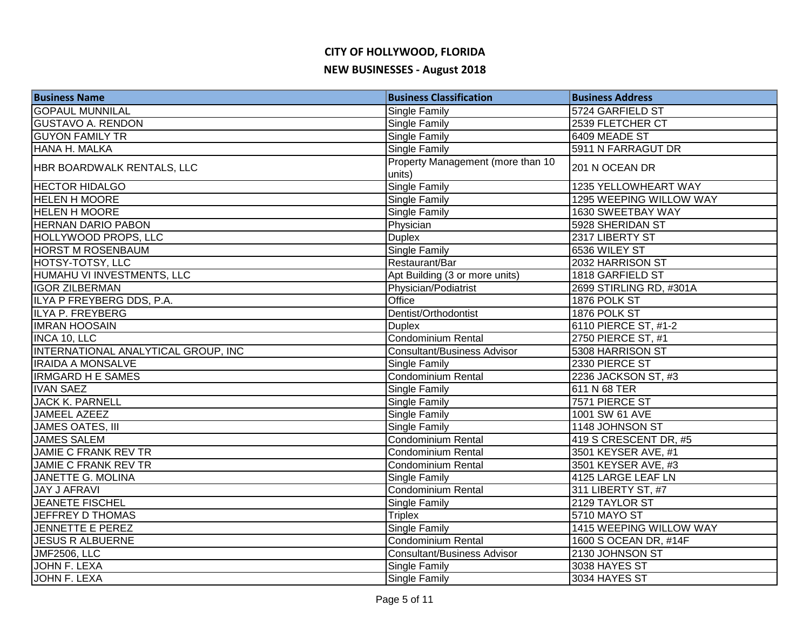# **CITY OF HOLLYWOOD, FLORIDA**

#### **NEW BUSINESSES - August 2018**

| <b>Business Name</b>                | <b>Business Classification</b>              | <b>Business Address</b>     |
|-------------------------------------|---------------------------------------------|-----------------------------|
| <b>GOPAUL MUNNILAL</b>              | Single Family                               | 5724 GARFIELD ST            |
| <b>GUSTAVO A. RENDON</b>            | Single Family                               | 2539 FLETCHER CT            |
| <b>GUYON FAMILY TR</b>              | Single Family                               | 6409 MEADE ST               |
| <b>HANA H. MALKA</b>                | Single Family                               | 5911 N FARRAGUT DR          |
| HBR BOARDWALK RENTALS, LLC          | Property Management (more than 10<br>units) | 201 N OCEAN DR              |
| <b>HECTOR HIDALGO</b>               | <b>Single Family</b>                        | <b>1235 YELLOWHEART WAY</b> |
| <b>HELEN H MOORE</b>                | <b>Single Family</b>                        | 1295 WEEPING WILLOW WAY     |
| <b>HELEN H MOORE</b>                | <b>Single Family</b>                        | 1630 SWEETBAY WAY           |
| <b>HERNAN DARIO PABON</b>           | Physician                                   | 5928 SHERIDAN ST            |
| HOLLYWOOD PROPS, LLC                | <b>Duplex</b>                               | 2317 LIBERTY ST             |
| <b>HORST M ROSENBAUM</b>            | <b>Single Family</b>                        | 6536 WILEY ST               |
| HOTSY-TOTSY, LLC                    | Restaurant/Bar                              | 2032 HARRISON ST            |
| HUMAHU VI INVESTMENTS, LLC          | Apt Building (3 or more units)              | 1818 GARFIELD ST            |
| <b>IGOR ZILBERMAN</b>               | Physician/Podiatrist                        | 2699 STIRLING RD, #301A     |
| ILYA P FREYBERG DDS, P.A.           | Office                                      | 1876 POLK ST                |
| ILYA P. FREYBERG                    | Dentist/Orthodontist                        | 1876 POLK ST                |
| <b>IMRAN HOOSAIN</b>                | <b>Duplex</b>                               | 6110 PIERCE ST, #1-2        |
| INCA 10, LLC                        | Condominium Rental                          | 2750 PIERCE ST, #1          |
| INTERNATIONAL ANALYTICAL GROUP, INC | <b>Consultant/Business Advisor</b>          | 5308 HARRISON ST            |
| <b>IRAIDA A MONSALVE</b>            | Single Family                               | 2330 PIERCE ST              |
| <b>IRMGARD H E SAMES</b>            | Condominium Rental                          | 2236 JACKSON ST, #3         |
| <b>IVAN SAEZ</b>                    | Single Family                               | 611 N 68 TER                |
| <b>JACK K. PARNELL</b>              | Single Family                               | 7571 PIERCE ST              |
| <b>JAMEEL AZEEZ</b>                 | Single Family                               | 1001 SW 61 AVE              |
| JAMES OATES, III                    | Single Family                               | 1148 JOHNSON ST             |
| <b>JAMES SALEM</b>                  | Condominium Rental                          | 419 S CRESCENT DR, #5       |
| <b>JAMIE C FRANK REV TR</b>         | Condominium Rental                          | 3501 KEYSER AVE, #1         |
| <b>JAMIE C FRANK REV TR</b>         | Condominium Rental                          | 3501 KEYSER AVE, #3         |
| JANETTE G. MOLINA                   | Single Family                               | 4125 LARGE LEAF LN          |
| <b>JAY J AFRAVI</b>                 | Condominium Rental                          | 311 LIBERTY ST, #7          |
| <b>JEANETE FISCHEL</b>              | <b>Single Family</b>                        | 2129 TAYLOR ST              |
| JEFFREY D THOMAS                    | <b>Triplex</b>                              | 5710 MAYO ST                |
| <b>JENNETTE E PEREZ</b>             | Single Family                               | 1415 WEEPING WILLOW WAY     |
| <b>JESUS R ALBUERNE</b>             | <b>Condominium Rental</b>                   | 1600 S OCEAN DR, #14F       |
| <b>JMF2506, LLC</b>                 | <b>Consultant/Business Advisor</b>          | 2130 JOHNSON ST             |
| <b>JOHN F. LEXA</b>                 | Single Family                               | 3038 HAYES ST               |
| <b>JOHN F. LEXA</b>                 | Single Family                               | 3034 HAYES ST               |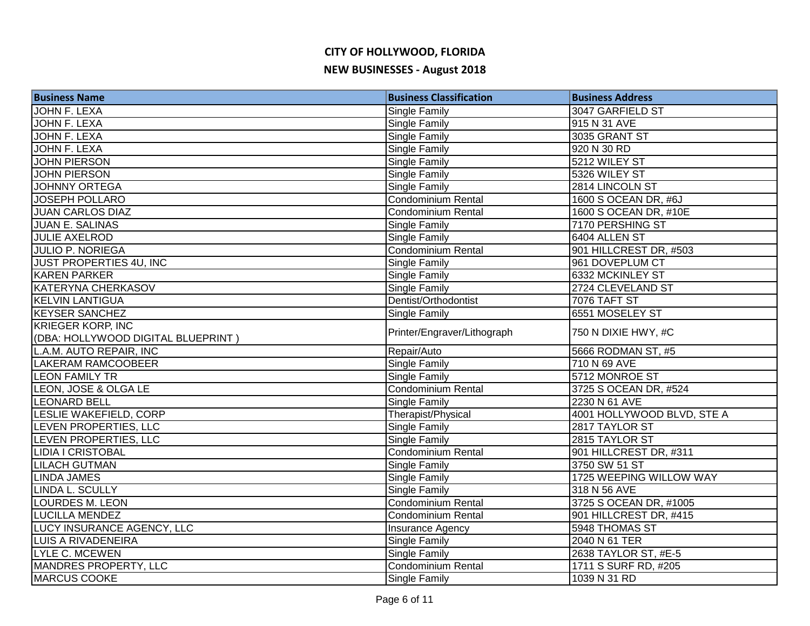| <b>Business Name</b>               | <b>Business Classification</b> | <b>Business Address</b>    |
|------------------------------------|--------------------------------|----------------------------|
| JOHN F. LEXA                       | Single Family                  | 3047 GARFIELD ST           |
| JOHN F. LEXA                       | <b>Single Family</b>           | 915 N 31 AVE               |
| JOHN F. LEXA                       | <b>Single Family</b>           | 3035 GRANT ST              |
| <b>JOHN F. LEXA</b>                | <b>Single Family</b>           | 920 N 30 RD                |
| <b>JOHN PIERSON</b>                | Single Family                  | 5212 WILEY ST              |
| <b>JOHN PIERSON</b>                | <b>Single Family</b>           | 5326 WILEY ST              |
| <b>JOHNNY ORTEGA</b>               | <b>Single Family</b>           | 2814 LINCOLN ST            |
| <b>JOSEPH POLLARO</b>              | Condominium Rental             | 1600 S OCEAN DR, #6J       |
| <b>JUAN CARLOS DIAZ</b>            | <b>Condominium Rental</b>      | 1600 S OCEAN DR, #10E      |
| <b>JUAN E. SALINAS</b>             | Single Family                  | 7170 PERSHING ST           |
| <b>JULIE AXELROD</b>               | <b>Single Family</b>           | 6404 ALLEN ST              |
| <b>JULIO P. NORIEGA</b>            | <b>Condominium Rental</b>      | 901 HILLCREST DR, #503     |
| JUST PROPERTIES 4U, INC            | <b>Single Family</b>           | 961 DOVEPLUM CT            |
| <b>KAREN PARKER</b>                | <b>Single Family</b>           | 6332 MCKINLEY ST           |
| <b>KATERYNA CHERKASOV</b>          | <b>Single Family</b>           | 2724 CLEVELAND ST          |
| <b>KELVIN LANTIGUA</b>             | Dentist/Orthodontist           | 7076 TAFT ST               |
| <b>KEYSER SANCHEZ</b>              | <b>Single Family</b>           | 6551 MOSELEY ST            |
| <b>KRIEGER KORP, INC</b>           | Printer/Engraver/Lithograph    | 750 N DIXIE HWY, #C        |
| (DBA: HOLLYWOOD DIGITAL BLUEPRINT) |                                |                            |
| L.A.M. AUTO REPAIR, INC            | Repair/Auto                    | 5666 RODMAN ST, #5         |
| LAKERAM RAMCOOBEER                 | Single Family                  | 710 N 69 AVE               |
| <b>LEON FAMILY TR</b>              | Single Family                  | 5712 MONROE ST             |
| LEON, JOSE & OLGA LE               | Condominium Rental             | 3725 S OCEAN DR, #524      |
| <b>LEONARD BELL</b>                | <b>Single Family</b>           | 2230 N 61 AVE              |
| LESLIE WAKEFIELD, CORP             | Therapist/Physical             | 4001 HOLLYWOOD BLVD, STE A |
| LEVEN PROPERTIES, LLC              | <b>Single Family</b>           | 2817 TAYLOR ST             |
| LEVEN PROPERTIES, LLC              | <b>Single Family</b>           | 2815 TAYLOR ST             |
| <b>LIDIA I CRISTOBAL</b>           | <b>Condominium Rental</b>      | 901 HILLCREST DR, #311     |
| <b>LILACH GUTMAN</b>               | <b>Single Family</b>           | 3750 SW 51 ST              |
| <b>LINDA JAMES</b>                 | <b>Single Family</b>           | 1725 WEEPING WILLOW WAY    |
| LINDA L. SCULLY                    | Single Family                  | 318 N 56 AVE               |
| LOURDES M. LEON                    | <b>Condominium Rental</b>      | 3725 S OCEAN DR, #1005     |
| <b>LUCILLA MENDEZ</b>              | <b>Condominium Rental</b>      | 901 HILLCREST DR, #415     |
| LUCY INSURANCE AGENCY, LLC         | Insurance Agency               | 5948 THOMAS ST             |
| <b>LUIS A RIVADENEIRA</b>          | <b>Single Family</b>           | 2040 N 61 TER              |
| <b>LYLE C. MCEWEN</b>              | Single Family                  | 2638 TAYLOR ST, #E-5       |
| <b>MANDRES PROPERTY, LLC</b>       | <b>Condominium Rental</b>      | 1711 S SURF RD, #205       |
| MARCUS COOKE                       | <b>Single Family</b>           | 1039 N 31 RD               |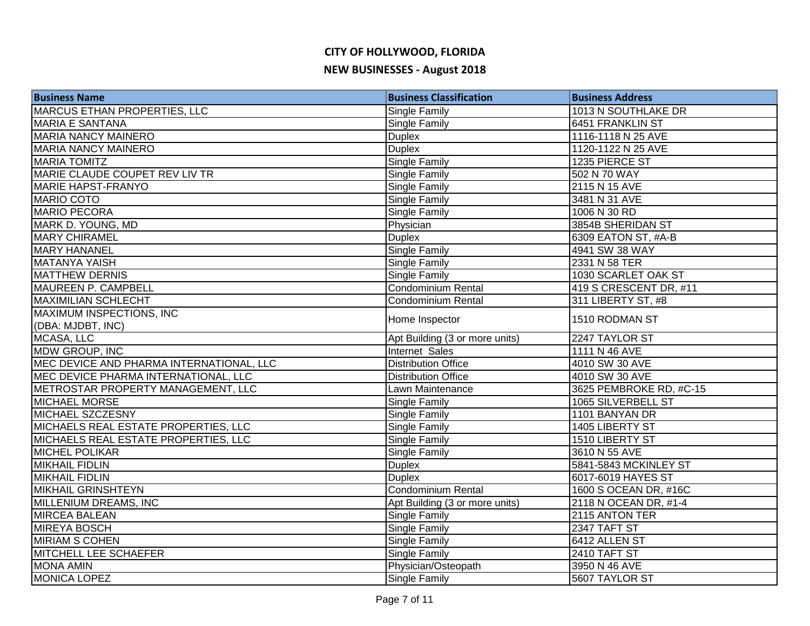| <b>Business Name</b>                     | <b>Business Classification</b> | <b>Business Address</b> |
|------------------------------------------|--------------------------------|-------------------------|
| MARCUS ETHAN PROPERTIES, LLC             | Single Family                  | 1013 N SOUTHLAKE DR     |
| <b>MARIA E SANTANA</b>                   | Single Family                  | 6451 FRANKLIN ST        |
| <b>MARIA NANCY MAINERO</b>               | <b>Duplex</b>                  | 1116-1118 N 25 AVE      |
| <b>MARIA NANCY MAINERO</b>               | <b>Duplex</b>                  | 1120-1122 N 25 AVE      |
| <b>MARIA TOMITZ</b>                      | <b>Single Family</b>           | 1235 PIERCE ST          |
| MARIE CLAUDE COUPET REV LIV TR           | <b>Single Family</b>           | 502 N 70 WAY            |
| <b>MARIE HAPST-FRANYO</b>                | <b>Single Family</b>           | 2115 N 15 AVE           |
| <b>MARIO COTO</b>                        | <b>Single Family</b>           | 3481 N 31 AVE           |
| <b>MARIO PECORA</b>                      | <b>Single Family</b>           | 1006 N 30 RD            |
| MARK D. YOUNG, MD                        | Physician                      | 3854B SHERIDAN ST       |
| <b>MARY CHIRAMEL</b>                     | <b>Duplex</b>                  | 6309 EATON ST, #A-B     |
| <b>MARY HANANEL</b>                      | <b>Single Family</b>           | 4941 SW 38 WAY          |
| MATANYA YAISH                            | Single Family                  | 2331 N 58 TER           |
| <b>MATTHEW DERNIS</b>                    | Single Family                  | 1030 SCARLET OAK ST     |
| MAUREEN P. CAMPBELL                      | Condominium Rental             | 419 S CRESCENT DR, #11  |
| <b>MAXIMILIAN SCHLECHT</b>               | Condominium Rental             | 311 LIBERTY ST, #8      |
| MAXIMUM INSPECTIONS, INC                 |                                |                         |
| (DBA: MJDBT, INC)                        | Home Inspector                 | 1510 RODMAN ST          |
| MCASA, LLC                               | Apt Building (3 or more units) | 2247 TAYLOR ST          |
| MDW GROUP, INC                           | Internet Sales                 | 1111 N 46 AVE           |
| MEC DEVICE AND PHARMA INTERNATIONAL, LLC | <b>Distribution Office</b>     | 4010 SW 30 AVE          |
| MEC DEVICE PHARMA INTERNATIONAL, LLC     | <b>Distribution Office</b>     | 4010 SW 30 AVE          |
| METROSTAR PROPERTY MANAGEMENT, LLC       | Lawn Maintenance               | 3625 PEMBROKE RD, #C-15 |
| <b>MICHAEL MORSE</b>                     | Single Family                  | 1065 SILVERBELL ST      |
| <b>MICHAEL SZCZESNY</b>                  | Single Family                  | 1101 BANYAN DR          |
| MICHAELS REAL ESTATE PROPERTIES, LLC     | <b>Single Family</b>           | 1405 LIBERTY ST         |
| MICHAELS REAL ESTATE PROPERTIES, LLC     | <b>Single Family</b>           | 1510 LIBERTY ST         |
| <b>MICHEL POLIKAR</b>                    | <b>Single Family</b>           | 3610 N 55 AVE           |
| <b>MIKHAIL FIDLIN</b>                    | <b>Duplex</b>                  | 5841-5843 MCKINLEY ST   |
| <b>MIKHAIL FIDLIN</b>                    | <b>Duplex</b>                  | 6017-6019 HAYES ST      |
| <b>MIKHAIL GRINSHTEYN</b>                | Condominium Rental             | 1600 S OCEAN DR, #16C   |
| MILLENIUM DREAMS, INC                    | Apt Building (3 or more units) | 2118 N OCEAN DR, #1-4   |
| MIRCEA BALEAN                            | Single Family                  | 2115 ANTON TER          |
| <b>MIREYA BOSCH</b>                      | Single Family                  | 2347 TAFT ST            |
| MIRIAM S COHEN                           | Single Family                  | 6412 ALLEN ST           |
| <b>MITCHELL LEE SCHAEFER</b>             | <b>Single Family</b>           | 2410 TAFT ST            |
| <b>MONA AMIN</b>                         | Physician/Osteopath            | 3950 N 46 AVE           |
| <b>MONICA LOPEZ</b>                      | <b>Single Family</b>           | 5607 TAYLOR ST          |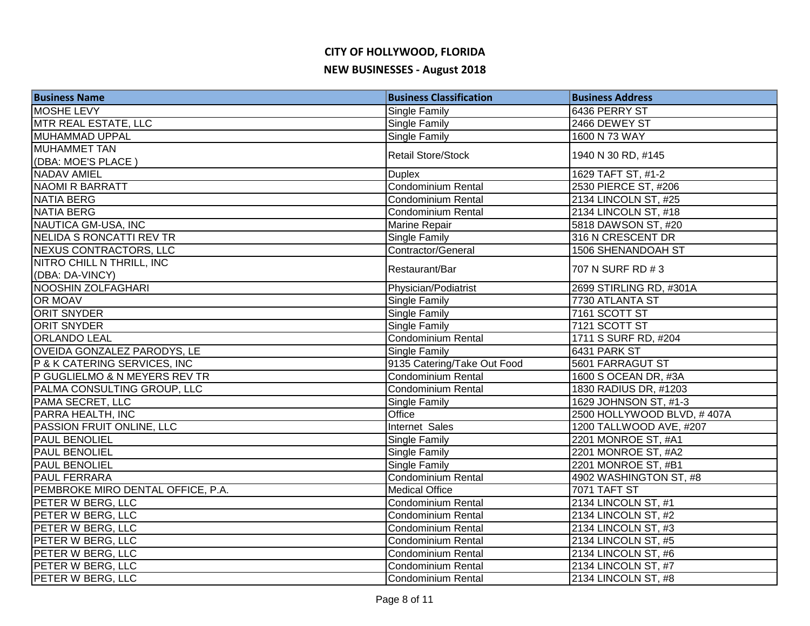| <b>Business Name</b>              | <b>Business Classification</b> | <b>Business Address</b>    |
|-----------------------------------|--------------------------------|----------------------------|
| <b>MOSHE LEVY</b>                 | Single Family                  | 6436 PERRY ST              |
| MTR REAL ESTATE, LLC              | Single Family                  | 2466 DEWEY ST              |
| MUHAMMAD UPPAL                    | Single Family                  | 1600 N 73 WAY              |
| <b>IMUHAMMET TAN</b>              | <b>Retail Store/Stock</b>      | 1940 N 30 RD, #145         |
| (DBA: MOE'S PLACE)                |                                |                            |
| <b>NADAV AMIEL</b>                | <b>Duplex</b>                  | 1629 TAFT ST, #1-2         |
| <b>NAOMI R BARRATT</b>            | <b>Condominium Rental</b>      | 2530 PIERCE ST, #206       |
| <b>NATIA BERG</b>                 | Condominium Rental             | 2134 LINCOLN ST, #25       |
| <b>NATIA BERG</b>                 | Condominium Rental             | 2134 LINCOLN ST, #18       |
| NAUTICA GM-USA, INC               | <b>Marine Repair</b>           | 5818 DAWSON ST, #20        |
| NELIDA S RONCATTI REV TR          | Single Family                  | 316 N CRESCENT DR          |
| NEXUS CONTRACTORS, LLC            | Contractor/General             | 1506 SHENANDOAH ST         |
| NITRO CHILL N THRILL, INC         | Restaurant/Bar                 | 707 N SURF RD # 3          |
| (DBA: DA-VINCY)                   |                                |                            |
| NOOSHIN ZOLFAGHARI                | Physician/Podiatrist           | 2699 STIRLING RD, #301A    |
| OR MOAV                           | Single Family                  | 7730 ATLANTA ST            |
| <b>ORIT SNYDER</b>                | <b>Single Family</b>           | 7161 SCOTT ST              |
| <b>ORIT SNYDER</b>                | Single Family                  | 7121 SCOTT ST              |
| <b>ORLANDO LEAL</b>               | Condominium Rental             | 1711 S SURF RD, #204       |
| OVEIDA GONZALEZ PARODYS, LE       | Single Family                  | 6431 PARK ST               |
| P & K CATERING SERVICES, INC      | 9135 Catering/Take Out Food    | 5601 FARRAGUT ST           |
| P GUGLIELMO & N MEYERS REV TR     | Condominium Rental             | 1600 S OCEAN DR, #3A       |
| PALMA CONSULTING GROUP, LLC       | <b>Condominium Rental</b>      | 1830 RADIUS DR, #1203      |
| PAMA SECRET, LLC                  | Single Family                  | 1629 JOHNSON ST, #1-3      |
| PARRA HEALTH, INC                 | Office                         | 2500 HOLLYWOOD BLVD, #407A |
| PASSION FRUIT ONLINE, LLC         | Internet Sales                 | 1200 TALLWOOD AVE, #207    |
| <b>PAUL BENOLIEL</b>              | <b>Single Family</b>           | 2201 MONROE ST, #A1        |
| <b>PAUL BENOLIEL</b>              | <b>Single Family</b>           | 2201 MONROE ST, #A2        |
| <b>PAUL BENOLIEL</b>              | <b>Single Family</b>           | 2201 MONROE ST, #B1        |
| <b>PAUL FERRARA</b>               | Condominium Rental             | 4902 WASHINGTON ST, #8     |
| PEMBROKE MIRO DENTAL OFFICE, P.A. | <b>Medical Office</b>          | <b>7071 TAFT ST</b>        |
| PETER W BERG, LLC                 | Condominium Rental             | 2134 LINCOLN ST, #1        |
| PETER W BERG, LLC                 | Condominium Rental             | 2134 LINCOLN ST, #2        |
| PETER W BERG, LLC                 | <b>Condominium Rental</b>      | 2134 LINCOLN ST, #3        |
| PETER W BERG, LLC                 | Condominium Rental             | 2134 LINCOLN ST, #5        |
| PETER W BERG, LLC                 | Condominium Rental             | 2134 LINCOLN ST, #6        |
| PETER W BERG, LLC                 | Condominium Rental             | 2134 LINCOLN ST, #7        |
| PETER W BERG, LLC                 | Condominium Rental             | 2134 LINCOLN ST, #8        |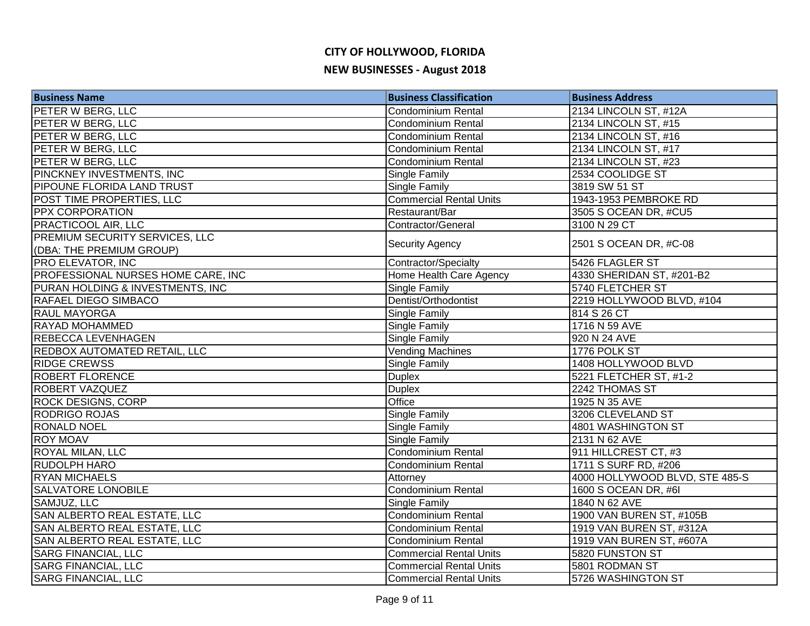| <b>Business Name</b>                                       | <b>Business Classification</b> | <b>Business Address</b>        |
|------------------------------------------------------------|--------------------------------|--------------------------------|
| <b>PETER W BERG, LLC</b>                                   | <b>Condominium Rental</b>      | 2134 LINCOLN ST, #12A          |
| <b>PETER W BERG, LLC</b>                                   | <b>Condominium Rental</b>      | 2134 LINCOLN ST, #15           |
| PETER W BERG, LLC                                          | <b>Condominium Rental</b>      | 2134 LINCOLN ST, #16           |
| PETER W BERG, LLC                                          | <b>Condominium Rental</b>      | 2134 LINCOLN ST, #17           |
| <b>PETER W BERG, LLC</b>                                   | <b>Condominium Rental</b>      | 2134 LINCOLN ST, #23           |
| PINCKNEY INVESTMENTS, INC                                  | Single Family                  | 2534 COOLIDGE ST               |
| PIPOUNE FLORIDA LAND TRUST                                 | Single Family                  | 3819 SW 51 ST                  |
| POST TIME PROPERTIES, LLC                                  | <b>Commercial Rental Units</b> | 1943-1953 PEMBROKE RD          |
| <b>PPX CORPORATION</b>                                     | Restaurant/Bar                 | 3505 S OCEAN DR, #CU5          |
| PRACTICOOL AIR, LLC                                        | Contractor/General             | 3100 N 29 CT                   |
| PREMIUM SECURITY SERVICES, LLC<br>(DBA: THE PREMIUM GROUP) | Security Agency                | 2501 S OCEAN DR, #C-08         |
| PRO ELEVATOR, INC                                          | Contractor/Specialty           | 5426 FLAGLER ST                |
| PROFESSIONAL NURSES HOME CARE, INC                         | Home Health Care Agency        | 4330 SHERIDAN ST, #201-B2      |
| PURAN HOLDING & INVESTMENTS, INC                           | Single Family                  | 5740 FLETCHER ST               |
| <b>RAFAEL DIEGO SIMBACO</b>                                | Dentist/Orthodontist           | 2219 HOLLYWOOD BLVD, #104      |
| <b>RAUL MAYORGA</b>                                        | Single Family                  | 814 S 26 CT                    |
| <b>RAYAD MOHAMMED</b>                                      | Single Family                  | 1716 N 59 AVE                  |
| <b>REBECCA LEVENHAGEN</b>                                  | Single Family                  | 920 N 24 AVE                   |
| <b>REDBOX AUTOMATED RETAIL, LLC</b>                        | <b>Vending Machines</b>        | 1776 POLK ST                   |
| <b>RIDGE CREWSS</b>                                        | Single Family                  | 1408 HOLLYWOOD BLVD            |
| <b>ROBERT FLORENCE</b>                                     | <b>Duplex</b>                  | 5221 FLETCHER ST, #1-2         |
| <b>ROBERT VAZQUEZ</b>                                      | <b>Duplex</b>                  | 2242 THOMAS ST                 |
| <b>ROCK DESIGNS, CORP</b>                                  | Office                         | 1925 N 35 AVE                  |
| <b>RODRIGO ROJAS</b>                                       | Single Family                  | 3206 CLEVELAND ST              |
| <b>RONALD NOEL</b>                                         | Single Family                  | 4801 WASHINGTON ST             |
| <b>ROY MOAV</b>                                            | Single Family                  | 2131 N 62 AVE                  |
| <b>ROYAL MILAN, LLC</b>                                    | <b>Condominium Rental</b>      | 911 HILLCREST CT, #3           |
| <b>RUDOLPH HARO</b>                                        | <b>Condominium Rental</b>      | 1711 S SURF RD, #206           |
| <b>RYAN MICHAELS</b>                                       | Attorney                       | 4000 HOLLYWOOD BLVD, STE 485-S |
| <b>SALVATORE LONOBILE</b>                                  | <b>Condominium Rental</b>      | 1600 S OCEAN DR, #6I           |
| SAMJUZ, LLC                                                | Single Family                  | 1840 N 62 AVE                  |
| SAN ALBERTO REAL ESTATE, LLC                               | Condominium Rental             | 1900 VAN BUREN ST, #105B       |
| SAN ALBERTO REAL ESTATE, LLC                               | Condominium Rental             | 1919 VAN BUREN ST, #312A       |
| SAN ALBERTO REAL ESTATE, LLC                               | Condominium Rental             | 1919 VAN BUREN ST, #607A       |
| <b>SARG FINANCIAL, LLC</b>                                 | <b>Commercial Rental Units</b> | 5820 FUNSTON ST                |
| <b>SARG FINANCIAL, LLC</b>                                 | <b>Commercial Rental Units</b> | 5801 RODMAN ST                 |
| <b>SARG FINANCIAL, LLC</b>                                 | <b>Commercial Rental Units</b> | 5726 WASHINGTON ST             |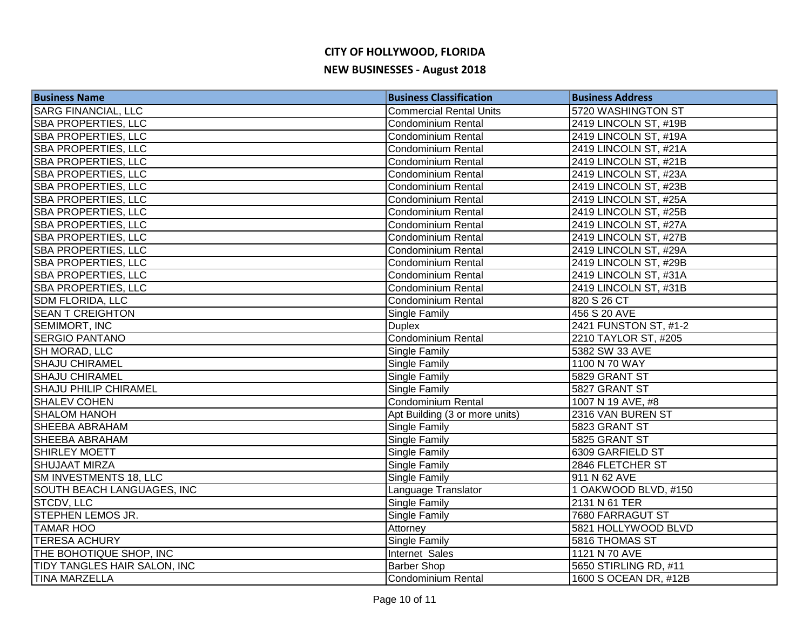| <b>Business Name</b>         | <b>Business Classification</b> | <b>Business Address</b> |
|------------------------------|--------------------------------|-------------------------|
| <b>SARG FINANCIAL, LLC</b>   | <b>Commercial Rental Units</b> | 5720 WASHINGTON ST      |
| <b>SBA PROPERTIES, LLC</b>   | <b>Condominium Rental</b>      | 2419 LINCOLN ST, #19B   |
| <b>SBA PROPERTIES, LLC</b>   | Condominium Rental             | 2419 LINCOLN ST, #19A   |
| <b>SBA PROPERTIES, LLC</b>   | Condominium Rental             | 2419 LINCOLN ST, #21A   |
| <b>SBA PROPERTIES, LLC</b>   | <b>Condominium Rental</b>      | 2419 LINCOLN ST, #21B   |
| <b>SBA PROPERTIES, LLC</b>   | <b>Condominium Rental</b>      | 2419 LINCOLN ST, #23A   |
| <b>SBA PROPERTIES, LLC</b>   | <b>Condominium Rental</b>      | 2419 LINCOLN ST, #23B   |
| <b>SBA PROPERTIES, LLC</b>   | <b>Condominium Rental</b>      | 2419 LINCOLN ST, #25A   |
| <b>SBA PROPERTIES, LLC</b>   | <b>Condominium Rental</b>      | 2419 LINCOLN ST, #25B   |
| <b>SBA PROPERTIES, LLC</b>   | <b>Condominium Rental</b>      | 2419 LINCOLN ST, #27A   |
| <b>SBA PROPERTIES, LLC</b>   | <b>Condominium Rental</b>      | 2419 LINCOLN ST, #27B   |
| SBA PROPERTIES, LLC          | <b>Condominium Rental</b>      | 2419 LINCOLN ST, #29A   |
| <b>SBA PROPERTIES, LLC</b>   | Condominium Rental             | 2419 LINCOLN ST, #29B   |
| <b>SBA PROPERTIES, LLC</b>   | <b>Condominium Rental</b>      | 2419 LINCOLN ST, #31A   |
| <b>SBA PROPERTIES, LLC</b>   | <b>Condominium Rental</b>      | 2419 LINCOLN ST, #31B   |
| <b>SDM FLORIDA, LLC</b>      | <b>Condominium Rental</b>      | 820 S 26 CT             |
| <b>SEAN T CREIGHTON</b>      | Single Family                  | 456 S 20 AVE            |
| SEMIMORT, INC                | <b>Duplex</b>                  | 2421 FUNSTON ST, #1-2   |
| <b>SERGIO PANTANO</b>        | <b>Condominium Rental</b>      | 2210 TAYLOR ST, #205    |
| SH MORAD, LLC                | Single Family                  | 5382 SW 33 AVE          |
| <b>SHAJU CHIRAMEL</b>        | Single Family                  | 1100 N 70 WAY           |
| <b>SHAJU CHIRAMEL</b>        | Single Family                  | 5829 GRANT ST           |
| <b>SHAJU PHILIP CHIRAMEL</b> | Single Family                  | 5827 GRANT ST           |
| <b>SHALEV COHEN</b>          | Condominium Rental             | 1007 N 19 AVE, #8       |
| <b>SHALOM HANOH</b>          | Apt Building (3 or more units) | 2316 VAN BUREN ST       |
| <b>SHEEBA ABRAHAM</b>        | <b>Single Family</b>           | 5823 GRANT ST           |
| <b>SHEEBA ABRAHAM</b>        | <b>Single Family</b>           | 5825 GRANT ST           |
| <b>SHIRLEY MOETT</b>         | Single Family                  | 6309 GARFIELD ST        |
| <b>SHUJAAT MIRZA</b>         | Single Family                  | 2846 FLETCHER ST        |
| SM INVESTMENTS 18, LLC       | Single Family                  | 911 N 62 AVE            |
| SOUTH BEACH LANGUAGES, INC   | Language Translator            | 1 OAKWOOD BLVD, #150    |
| STCDV, LLC                   | Single Family                  | 2131 N 61 TER           |
| <b>STEPHEN LEMOS JR.</b>     | Single Family                  | 7680 FARRAGUT ST        |
| <b>TAMAR HOO</b>             | Attorney                       | 5821 HOLLYWOOD BLVD     |
| <b>TERESA ACHURY</b>         | Single Family                  | 5816 THOMAS ST          |
| THE BOHOTIQUE SHOP, INC      | Internet Sales                 | 1121 N 70 AVE           |
| TIDY TANGLES HAIR SALON, INC | <b>Barber Shop</b>             | 5650 STIRLING RD, #11   |
| <b>TINA MARZELLA</b>         | Condominium Rental             | 1600 S OCEAN DR, #12B   |